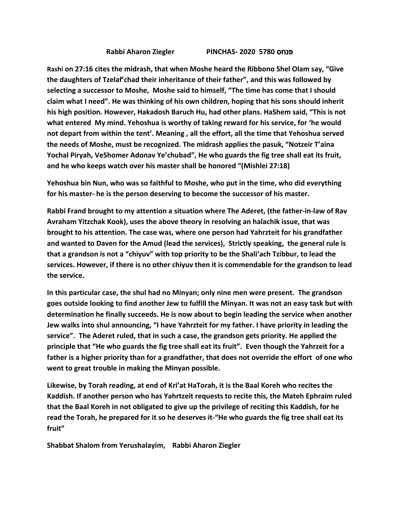## **Rabbi Aharon Ziegler PINCHAS- 2020 5780** פנחס

**Rashi on 27:16 cites the midrash, that when Moshe heard the Ribbono Shel Olam say, "Give the daughters of Tzelaf'chad their inheritance of their father", and this was followed by selecting a successor to Moshe, Moshe said to himself, "The time has come that I should claim what I need". He was thinking of his own children, hoping that his sons should inherit his high position. However, Hakadosh Baruch Hu, had other plans. HaShem said, "This is not what entered My mind. Yehoshua is worthy of taking reward for his service, for 'he would not depart from within the tent'. Meaning , all the effort, all the time that Yehoshua served the needs of Moshe, must be recognized. The midrash applies the pasuk, "Notzeir T'aina Yochal Piryah, VeShomer Adonav Ye'chubad", He who guards the fig tree shall eat its fruit, and he who keeps watch over his master shall be honored "(Mishlei 27:18)**

**Yehoshua bin Nun, who was so faithful to Moshe, who put in the time, who did everything for his master- he is the person deserving to become the successor of his master.**

**Rabbi Frand brought to my attention a situation where The Aderet, (the father-in-law of Rav Avraham Yitzchak Kook), uses the above theory in resolving an halachik issue, that was brought to his attention. The case was, where one person had Yahrzteit for his grandfather and wanted to Daven for the Amud (lead the services), Strictly speaking, the general rule is that a grandson is not a "chiyuv" with top priority to be the Shali'ach Tzibbur, to lead the services. However, if there is no other chiyuv then it is commendable for the grandson to lead the service.**

**In this particular case, the shul had no Minyan; only nine men were present. The grandson goes outside looking to find another Jew to fulfill the Minyan. It was not an easy task but with determination he finally succeeds. He is now about to begin leading the service when another Jew walks into shul announcing, "I have Yahrzteit for my father. I have priority in leading the service". The Aderet ruled, that in such a case, the grandson gets priority. He applied the principle that "He who guards the fig tree shall eat its fruit". Even though the Yahrzeit for a father is a higher priority than for a grandfather, that does not override the effort of one who went to great trouble in making the Minyan possible.**

**Likewise, by Torah reading, at end of Kri'at HaTorah, it is the Baal Koreh who recites the Kaddish. If another person who has Yahrtzeit requests to recite this, the Mateh Ephraim ruled that the Baal Koreh in not obligated to give up the privilege of reciting this Kaddish, for he read the Torah, he prepared for it so he deserves it-"He who guards the fig tree shall eat its fruit"**

**Shabbat Shalom from Yerushalayim, Rabbi Aharon Ziegler**